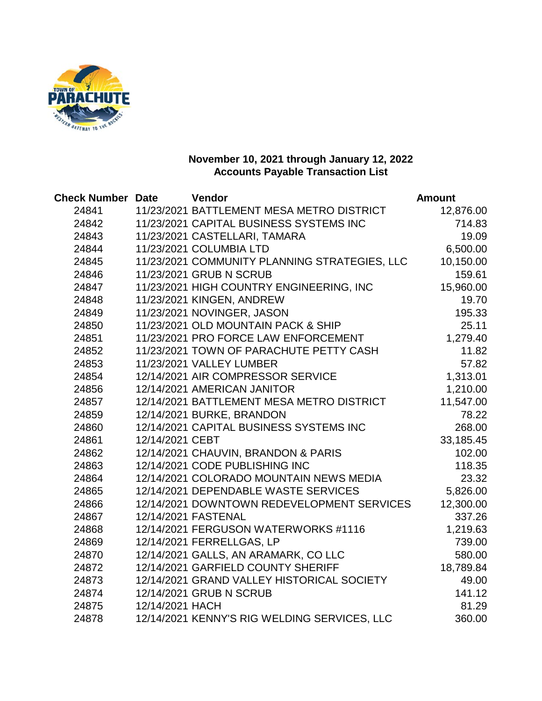

| <b>Check Number Date</b> |                 | <b>Vendor</b>                                 | <b>Amount</b> |
|--------------------------|-----------------|-----------------------------------------------|---------------|
| 24841                    |                 | 11/23/2021 BATTLEMENT MESA METRO DISTRICT     | 12,876.00     |
| 24842                    |                 | 11/23/2021 CAPITAL BUSINESS SYSTEMS INC       | 714.83        |
| 24843                    |                 | 11/23/2021 CASTELLARI, TAMARA                 | 19.09         |
| 24844                    |                 | 11/23/2021 COLUMBIA LTD                       | 6,500.00      |
| 24845                    |                 | 11/23/2021 COMMUNITY PLANNING STRATEGIES, LLC | 10,150.00     |
| 24846                    |                 | 11/23/2021 GRUB N SCRUB                       | 159.61        |
| 24847                    |                 | 11/23/2021 HIGH COUNTRY ENGINEERING, INC      | 15,960.00     |
| 24848                    |                 | 11/23/2021 KINGEN, ANDREW                     | 19.70         |
| 24849                    |                 | 11/23/2021 NOVINGER, JASON                    | 195.33        |
| 24850                    |                 | 11/23/2021 OLD MOUNTAIN PACK & SHIP           | 25.11         |
| 24851                    |                 | 11/23/2021 PRO FORCE LAW ENFORCEMENT          | 1,279.40      |
| 24852                    |                 | 11/23/2021 TOWN OF PARACHUTE PETTY CASH       | 11.82         |
| 24853                    |                 | 11/23/2021 VALLEY LUMBER                      | 57.82         |
| 24854                    |                 | 12/14/2021 AIR COMPRESSOR SERVICE             | 1,313.01      |
| 24856                    |                 | 12/14/2021 AMERICAN JANITOR                   | 1,210.00      |
| 24857                    |                 | 12/14/2021 BATTLEMENT MESA METRO DISTRICT     | 11,547.00     |
| 24859                    |                 | 12/14/2021 BURKE, BRANDON                     | 78.22         |
| 24860                    |                 | 12/14/2021 CAPITAL BUSINESS SYSTEMS INC       | 268.00        |
| 24861                    | 12/14/2021 CEBT |                                               | 33,185.45     |
| 24862                    |                 | 12/14/2021 CHAUVIN, BRANDON & PARIS           | 102.00        |
| 24863                    |                 | 12/14/2021 CODE PUBLISHING INC                | 118.35        |
| 24864                    |                 | 12/14/2021 COLORADO MOUNTAIN NEWS MEDIA       | 23.32         |
| 24865                    |                 | 12/14/2021 DEPENDABLE WASTE SERVICES          | 5,826.00      |
| 24866                    |                 | 12/14/2021 DOWNTOWN REDEVELOPMENT SERVICES    | 12,300.00     |
| 24867                    |                 | 12/14/2021 FASTENAL                           | 337.26        |
| 24868                    |                 | 12/14/2021 FERGUSON WATERWORKS #1116          | 1,219.63      |
| 24869                    |                 | 12/14/2021 FERRELLGAS, LP                     | 739.00        |
| 24870                    |                 | 12/14/2021 GALLS, AN ARAMARK, CO LLC          | 580.00        |
| 24872                    |                 | 12/14/2021 GARFIELD COUNTY SHERIFF            | 18,789.84     |
| 24873                    |                 | 12/14/2021 GRAND VALLEY HISTORICAL SOCIETY    | 49.00         |
| 24874                    |                 | 12/14/2021 GRUB N SCRUB                       | 141.12        |
| 24875                    | 12/14/2021 HACH |                                               | 81.29         |
| 24878                    |                 | 12/14/2021 KENNY'S RIG WELDING SERVICES, LLC  | 360.00        |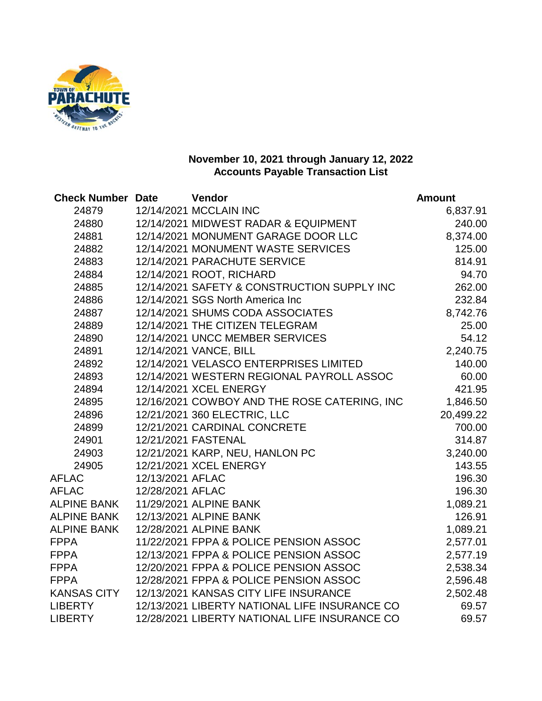

| <b>Check Number Date</b> |                  | Vendor                                        | <b>Amount</b> |
|--------------------------|------------------|-----------------------------------------------|---------------|
| 24879                    |                  | 12/14/2021 MCCLAIN INC                        | 6,837.91      |
| 24880                    |                  | 12/14/2021 MIDWEST RADAR & EQUIPMENT          | 240.00        |
| 24881                    |                  | 12/14/2021 MONUMENT GARAGE DOOR LLC           | 8,374.00      |
| 24882                    |                  | 12/14/2021 MONUMENT WASTE SERVICES            | 125.00        |
| 24883                    |                  | 12/14/2021 PARACHUTE SERVICE                  | 814.91        |
| 24884                    |                  | 12/14/2021 ROOT, RICHARD                      | 94.70         |
| 24885                    |                  | 12/14/2021 SAFETY & CONSTRUCTION SUPPLY INC   | 262.00        |
| 24886                    |                  | 12/14/2021 SGS North America Inc              | 232.84        |
| 24887                    |                  | 12/14/2021 SHUMS CODA ASSOCIATES              | 8,742.76      |
| 24889                    |                  | 12/14/2021 THE CITIZEN TELEGRAM               | 25.00         |
| 24890                    |                  | 12/14/2021 UNCC MEMBER SERVICES               | 54.12         |
| 24891                    |                  | 12/14/2021 VANCE, BILL                        | 2,240.75      |
| 24892                    |                  | 12/14/2021 VELASCO ENTERPRISES LIMITED        | 140.00        |
| 24893                    |                  | 12/14/2021 WESTERN REGIONAL PAYROLL ASSOC     | 60.00         |
| 24894                    |                  | 12/14/2021 XCEL ENERGY                        | 421.95        |
| 24895                    |                  | 12/16/2021 COWBOY AND THE ROSE CATERING, INC  | 1,846.50      |
| 24896                    |                  | 12/21/2021 360 ELECTRIC, LLC                  | 20,499.22     |
| 24899                    |                  | 12/21/2021 CARDINAL CONCRETE                  | 700.00        |
| 24901                    |                  | 12/21/2021 FASTENAL                           | 314.87        |
| 24903                    |                  | 12/21/2021 KARP, NEU, HANLON PC               | 3,240.00      |
| 24905                    |                  | 12/21/2021 XCEL ENERGY                        | 143.55        |
| <b>AFLAC</b>             | 12/13/2021 AFLAC |                                               | 196.30        |
| <b>AFLAC</b>             | 12/28/2021 AFLAC |                                               | 196.30        |
| <b>ALPINE BANK</b>       |                  | 11/29/2021 ALPINE BANK                        | 1,089.21      |
| <b>ALPINE BANK</b>       |                  | 12/13/2021 ALPINE BANK                        | 126.91        |
| <b>ALPINE BANK</b>       |                  | 12/28/2021 ALPINE BANK                        | 1,089.21      |
| <b>FPPA</b>              |                  | 11/22/2021 FPPA & POLICE PENSION ASSOC        | 2,577.01      |
| <b>FPPA</b>              |                  | 12/13/2021 FPPA & POLICE PENSION ASSOC        | 2,577.19      |
| <b>FPPA</b>              |                  | 12/20/2021 FPPA & POLICE PENSION ASSOC        | 2,538.34      |
| <b>FPPA</b>              |                  | 12/28/2021 FPPA & POLICE PENSION ASSOC        | 2,596.48      |
| <b>KANSAS CITY</b>       |                  | 12/13/2021 KANSAS CITY LIFE INSURANCE         | 2,502.48      |
| <b>LIBERTY</b>           |                  | 12/13/2021 LIBERTY NATIONAL LIFE INSURANCE CO | 69.57         |
| <b>LIBERTY</b>           |                  | 12/28/2021 LIBERTY NATIONAL LIFE INSURANCE CO | 69.57         |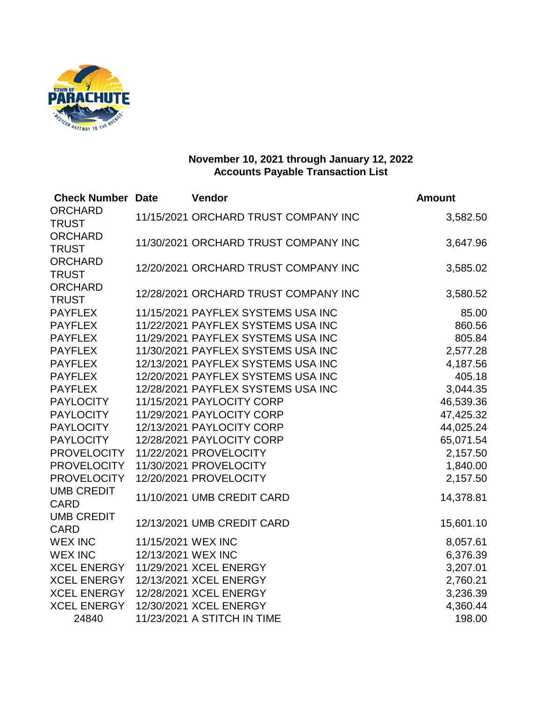

| <b>Check Number Date</b> |                    | Vendor                               | <b>Amount</b> |
|--------------------------|--------------------|--------------------------------------|---------------|
| <b>ORCHARD</b>           |                    | 11/15/2021 ORCHARD TRUST COMPANY INC | 3,582.50      |
| <b>TRUST</b>             |                    |                                      |               |
| <b>ORCHARD</b>           |                    | 11/30/2021 ORCHARD TRUST COMPANY INC | 3,647.96      |
| <b>TRUST</b>             |                    |                                      |               |
| <b>ORCHARD</b>           |                    | 12/20/2021 ORCHARD TRUST COMPANY INC | 3,585.02      |
| <b>TRUST</b>             |                    |                                      |               |
| <b>ORCHARD</b>           |                    | 12/28/2021 ORCHARD TRUST COMPANY INC | 3,580.52      |
| <b>TRUST</b>             |                    |                                      |               |
| <b>PAYFLEX</b>           |                    | 11/15/2021 PAYFLEX SYSTEMS USA INC   | 85.00         |
| <b>PAYFLEX</b>           |                    | 11/22/2021 PAYFLEX SYSTEMS USA INC   | 860.56        |
| <b>PAYFLEX</b>           |                    | 11/29/2021 PAYFLEX SYSTEMS USA INC   | 805.84        |
| <b>PAYFLEX</b>           |                    | 11/30/2021 PAYFLEX SYSTEMS USA INC   | 2,577.28      |
| <b>PAYFLEX</b>           |                    | 12/13/2021 PAYFLEX SYSTEMS USA INC   | 4,187.56      |
| <b>PAYFLEX</b>           |                    | 12/20/2021 PAYFLEX SYSTEMS USA INC   | 405.18        |
| <b>PAYFLEX</b>           |                    | 12/28/2021 PAYFLEX SYSTEMS USA INC   | 3,044.35      |
| <b>PAYLOCITY</b>         |                    | 11/15/2021 PAYLOCITY CORP            | 46,539.36     |
| <b>PAYLOCITY</b>         |                    | 11/29/2021 PAYLOCITY CORP            | 47,425.32     |
| <b>PAYLOCITY</b>         |                    | 12/13/2021 PAYLOCITY CORP            | 44,025.24     |
| <b>PAYLOCITY</b>         |                    | 12/28/2021 PAYLOCITY CORP            | 65,071.54     |
| <b>PROVELOCITY</b>       |                    | 11/22/2021 PROVELOCITY               | 2,157.50      |
| <b>PROVELOCITY</b>       |                    | 11/30/2021 PROVELOCITY               | 1,840.00      |
| <b>PROVELOCITY</b>       |                    | 12/20/2021 PROVELOCITY               | 2,157.50      |
| <b>UMB CREDIT</b>        |                    | 11/10/2021 UMB CREDIT CARD           | 14,378.81     |
| <b>CARD</b>              |                    |                                      |               |
| <b>UMB CREDIT</b>        |                    | 12/13/2021 UMB CREDIT CARD           | 15,601.10     |
| <b>CARD</b>              |                    |                                      |               |
| <b>WEX INC</b>           | 11/15/2021 WEX INC |                                      | 8,057.61      |
| <b>WEX INC</b>           | 12/13/2021 WEX INC |                                      | 6,376.39      |
| <b>XCEL ENERGY</b>       |                    | 11/29/2021 XCEL ENERGY               | 3,207.01      |
| <b>XCEL ENERGY</b>       |                    | 12/13/2021 XCEL ENERGY               | 2,760.21      |
| <b>XCEL ENERGY</b>       |                    | 12/28/2021 XCEL ENERGY               | 3,236.39      |
| <b>XCEL ENERGY</b>       |                    | 12/30/2021 XCEL ENERGY               | 4,360.44      |
| 24840                    |                    | 11/23/2021 A STITCH IN TIME          | 198.00        |